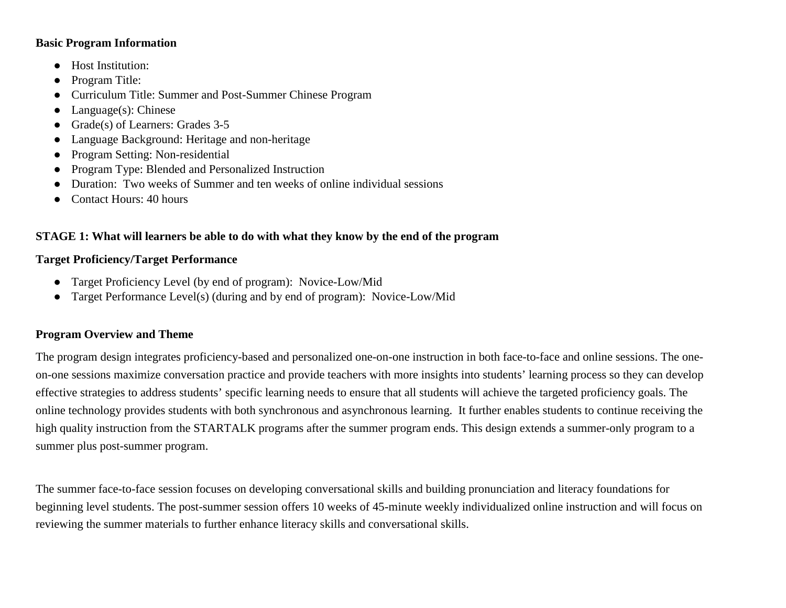#### **Basic Program Information**

- Host Institution:
- Program Title:
- Curriculum Title: Summer and Post-Summer Chinese Program
- $\bullet$  Language(s): Chinese
- Grade(s) of Learners: Grades 3-5
- Language Background: Heritage and non-heritage
- Program Setting: Non-residential
- Program Type: Blended and Personalized Instruction
- Duration: Two weeks of Summer and ten weeks of online individual sessions
- Contact Hours: 40 hours

#### **STAGE 1: What will learners be able to do with what they know by the end of the program**

#### **Target Proficiency/Target Performance**

- Target Proficiency Level (by end of program): Novice-Low/Mid
- Target Performance Level(s) (during and by end of program): Novice-Low/Mid

#### **Program Overview and Theme**

The program design integrates proficiency-based and personalized one-on-one instruction in both face-to-face and online sessions. The oneon-one sessions maximize conversation practice and provide teachers with more insights into students' learning process so they can develop effective strategies to address students' specific learning needs to ensure that all students will achieve the targeted proficiency goals. The online technology provides students with both synchronous and asynchronous learning. It further enables students to continue receiving the high quality instruction from the STARTALK programs after the summer program ends. This design extends a summer-only program to a summer plus post-summer program.

The summer face-to-face session focuses on developing conversational skills and building pronunciation and literacy foundations for beginning level students. The post-summer session offers 10 weeks of 45-minute weekly individualized online instruction and will focus on reviewing the summer materials to further enhance literacy skills and conversational skills.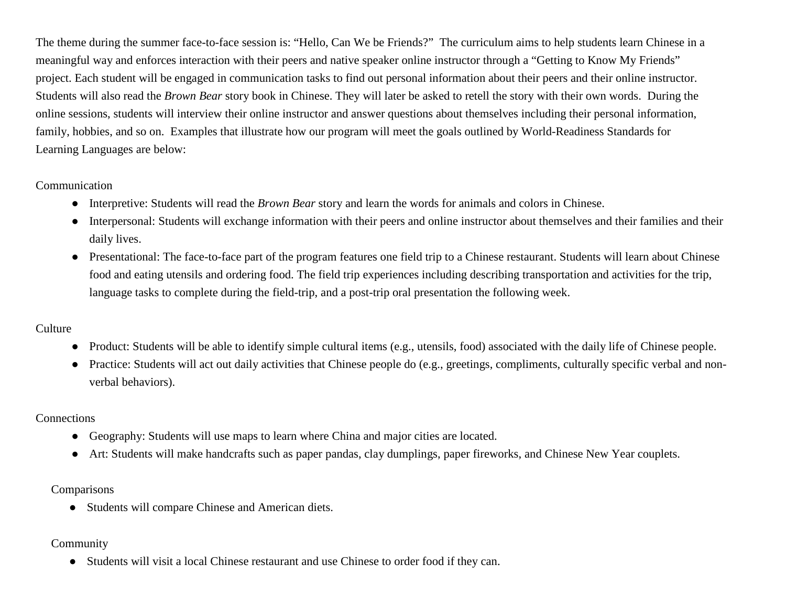The theme during the summer face-to-face session is: "Hello, Can We be Friends?" The curriculum aims to help students learn Chinese in a meaningful way and enforces interaction with their peers and native speaker online instructor through a "Getting to Know My Friends" project. Each student will be engaged in communication tasks to find out personal information about their peers and their online instructor. Students will also read the *Brown Bear* story book in Chinese. They will later be asked to retell the story with their own words. During the online sessions, students will interview their online instructor and answer questions about themselves including their personal information, family, hobbies, and so on. Examples that illustrate how our program will meet the goals outlined by World-Readiness Standards for Learning Languages are below:

#### Communication

- Interpretive: Students will read the *Brown Bear* story and learn the words for animals and colors in Chinese.
- Interpersonal: Students will exchange information with their peers and online instructor about themselves and their families and their daily lives.
- Presentational: The face-to-face part of the program features one field trip to a Chinese restaurant. Students will learn about Chinese food and eating utensils and ordering food. The field trip experiences including describing transportation and activities for the trip, language tasks to complete during the field-trip, and a post-trip oral presentation the following week.

## **Culture**

- Product: Students will be able to identify simple cultural items (e.g., utensils, food) associated with the daily life of Chinese people.
- Practice: Students will act out daily activities that Chinese people do (e.g., greetings, compliments, culturally specific verbal and nonverbal behaviors).

#### **Connections**

- Geography: Students will use maps to learn where China and major cities are located.
- Art: Students will make handcrafts such as paper pandas, clay dumplings, paper fireworks, and Chinese New Year couplets.

## Comparisons

● Students will compare Chinese and American diets.

## Community

● Students will visit a local Chinese restaurant and use Chinese to order food if they can.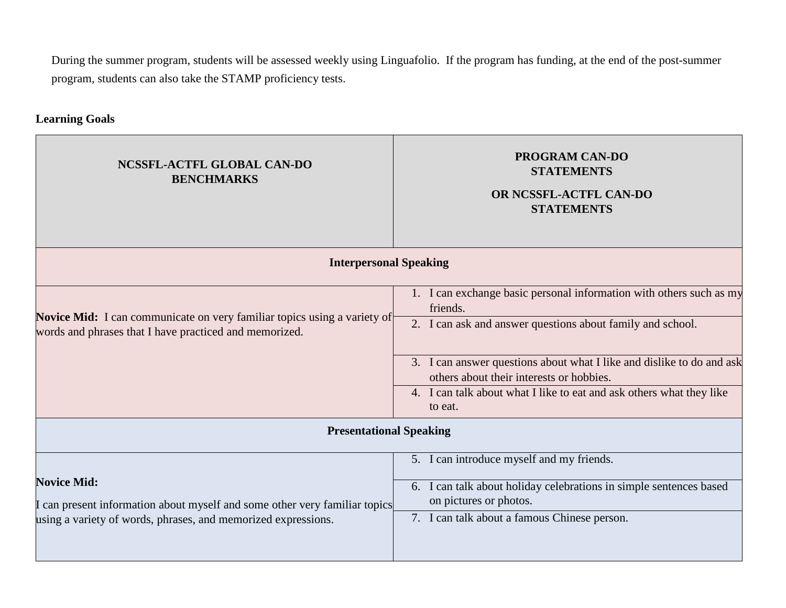During the summer program, students will be assessed weekly using Linguafolio. If the program has funding, at the end of the post-summer program, students can also take the STAMP proficiency tests.

## **Learning Goals**

| NCSSFL-ACTFL GLOBAL CAN-DO<br><b>BENCHMARKS</b>                                                                                                                   | <b>PROGRAM CAN-DO</b><br><b>STATEMENTS</b><br>OR NCSSFL-ACTFL CAN-DO<br><b>STATEMENTS</b>                                                                                                                                                                                                                                                             |  |
|-------------------------------------------------------------------------------------------------------------------------------------------------------------------|-------------------------------------------------------------------------------------------------------------------------------------------------------------------------------------------------------------------------------------------------------------------------------------------------------------------------------------------------------|--|
| <b>Interpersonal Speaking</b>                                                                                                                                     |                                                                                                                                                                                                                                                                                                                                                       |  |
| Novice Mid: I can communicate on very familiar topics using a variety of<br>words and phrases that I have practiced and memorized.                                | 1. I can exchange basic personal information with others such as my<br>friends.<br>2. I can ask and answer questions about family and school.<br>3. I can answer questions about what I like and dislike to do and ask<br>others about their interests or hobbies.<br>4. I can talk about what I like to eat and ask others what they like<br>to eat. |  |
| <b>Presentational Speaking</b>                                                                                                                                    |                                                                                                                                                                                                                                                                                                                                                       |  |
| <b>Novice Mid:</b><br>I can present information about myself and some other very familiar topics<br>using a variety of words, phrases, and memorized expressions. | 5. I can introduce myself and my friends.<br>6. I can talk about holiday celebrations in simple sentences based<br>on pictures or photos.<br>7. I can talk about a famous Chinese person.                                                                                                                                                             |  |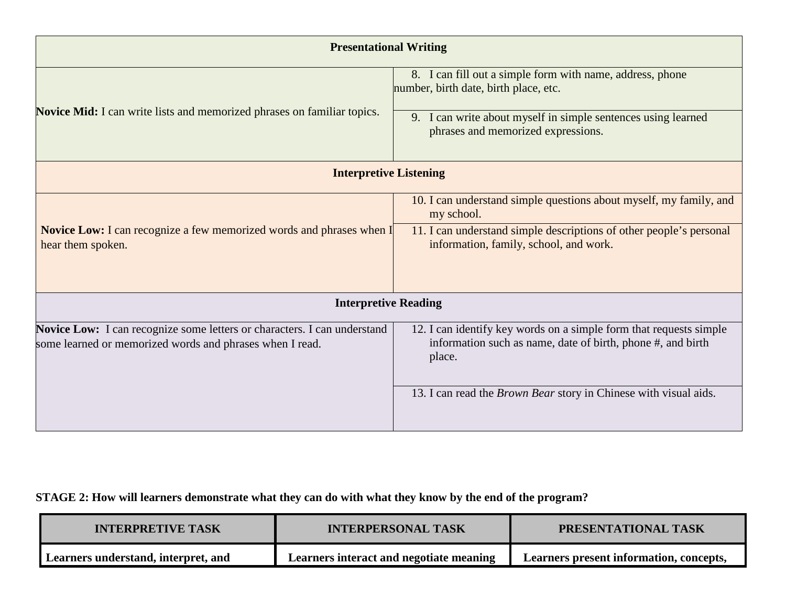| <b>Presentational Writing</b>                                                                                                        |                                                                                                                                             |  |
|--------------------------------------------------------------------------------------------------------------------------------------|---------------------------------------------------------------------------------------------------------------------------------------------|--|
| <b>Novice Mid:</b> I can write lists and memorized phrases on familiar topics.                                                       | 8. I can fill out a simple form with name, address, phone<br>number, birth date, birth place, etc.                                          |  |
|                                                                                                                                      | 9. I can write about myself in simple sentences using learned<br>phrases and memorized expressions.                                         |  |
| <b>Interpretive Listening</b>                                                                                                        |                                                                                                                                             |  |
|                                                                                                                                      | 10. I can understand simple questions about myself, my family, and<br>my school.                                                            |  |
| <b>Novice Low:</b> I can recognize a few memorized words and phrases when I<br>hear them spoken.                                     | 11. I can understand simple descriptions of other people's personal<br>information, family, school, and work.                               |  |
| <b>Interpretive Reading</b>                                                                                                          |                                                                                                                                             |  |
| Novice Low: I can recognize some letters or characters. I can understand<br>some learned or memorized words and phrases when I read. | 12. I can identify key words on a simple form that requests simple<br>information such as name, date of birth, phone #, and birth<br>place. |  |
|                                                                                                                                      | 13. I can read the Brown Bear story in Chinese with visual aids.                                                                            |  |

# **STAGE 2: How will learners demonstrate what they can do with what they know by the end of the program?**

| <b>INTERPRETIVE TASK</b>            | <b>INTERPERSONAL TASK</b>               | <b>PRESENTATIONAL TASK</b>              |
|-------------------------------------|-----------------------------------------|-----------------------------------------|
| Learners understand, interpret, and | Learners interact and negotiate meaning | Learners present information, concepts, |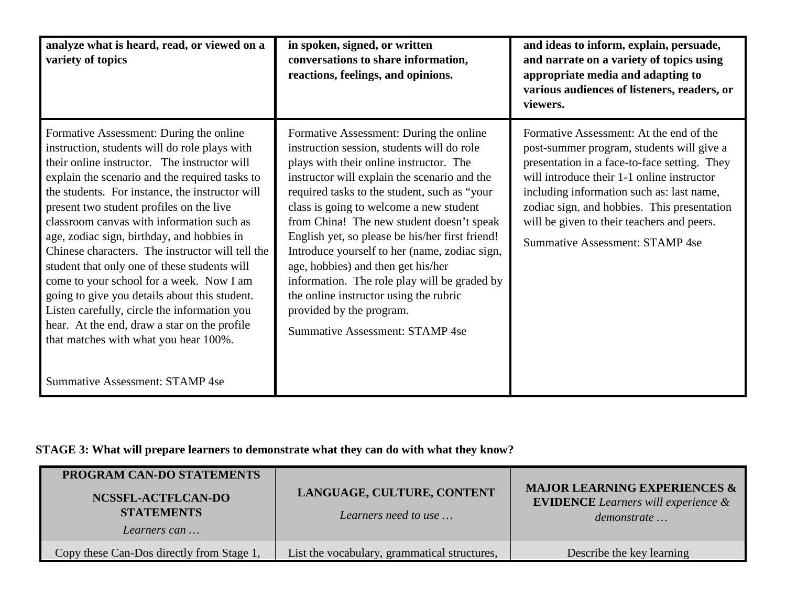| analyze what is heard, read, or viewed on a<br>variety of topics                                                                                                                                                                                                                                                                                                                                                                                                                                                                                                                                                                                                                                                                                                         | in spoken, signed, or written<br>conversations to share information,<br>reactions, feelings, and opinions.                                                                                                                                                                                                                                                                                                                                                                                                                                                                                                                         | and ideas to inform, explain, persuade,<br>and narrate on a variety of topics using<br>appropriate media and adapting to<br>various audiences of listeners, readers, or<br>viewers.                                                                                                                                                                                    |
|--------------------------------------------------------------------------------------------------------------------------------------------------------------------------------------------------------------------------------------------------------------------------------------------------------------------------------------------------------------------------------------------------------------------------------------------------------------------------------------------------------------------------------------------------------------------------------------------------------------------------------------------------------------------------------------------------------------------------------------------------------------------------|------------------------------------------------------------------------------------------------------------------------------------------------------------------------------------------------------------------------------------------------------------------------------------------------------------------------------------------------------------------------------------------------------------------------------------------------------------------------------------------------------------------------------------------------------------------------------------------------------------------------------------|------------------------------------------------------------------------------------------------------------------------------------------------------------------------------------------------------------------------------------------------------------------------------------------------------------------------------------------------------------------------|
| Formative Assessment: During the online<br>instruction, students will do role plays with<br>their online instructor. The instructor will<br>explain the scenario and the required tasks to<br>the students. For instance, the instructor will<br>present two student profiles on the live<br>classroom canvas with information such as<br>age, zodiac sign, birthday, and hobbies in<br>Chinese characters. The instructor will tell the<br>student that only one of these students will<br>come to your school for a week. Now I am<br>going to give you details about this student.<br>Listen carefully, circle the information you<br>hear. At the end, draw a star on the profile<br>that matches with what you hear 100%.<br><b>Summative Assessment: STAMP 4se</b> | Formative Assessment: During the online<br>instruction session, students will do role<br>plays with their online instructor. The<br>instructor will explain the scenario and the<br>required tasks to the student, such as "your<br>class is going to welcome a new student<br>from China! The new student doesn't speak<br>English yet, so please be his/her first friend!<br>Introduce yourself to her (name, zodiac sign,<br>age, hobbies) and then get his/her<br>information. The role play will be graded by<br>the online instructor using the rubric<br>provided by the program.<br><b>Summative Assessment: STAMP 4se</b> | Formative Assessment: At the end of the<br>post-summer program, students will give a<br>presentation in a face-to-face setting. They<br>will introduce their 1-1 online instructor<br>including information such as: last name,<br>zodiac sign, and hobbies. This presentation<br>will be given to their teachers and peers.<br><b>Summative Assessment: STAMP 4se</b> |

# **STAGE 3: What will prepare learners to demonstrate what they can do with what they know?**

| PROGRAM CAN-DO STATEMENTS<br>NCSSFL-ACTFLCAN-DO<br><b>STATEMENTS</b><br>Learners can | LANGUAGE, CULTURE, CONTENT<br>Learners need to use | <b>MAJOR LEARNING EXPERIENCES &amp;</b><br><b>EVIDENCE</b> Learners will experience &<br>demonstrate |
|--------------------------------------------------------------------------------------|----------------------------------------------------|------------------------------------------------------------------------------------------------------|
| Copy these Can-Dos directly from Stage 1,                                            | List the vocabulary, grammatical structures,       | Describe the key learning                                                                            |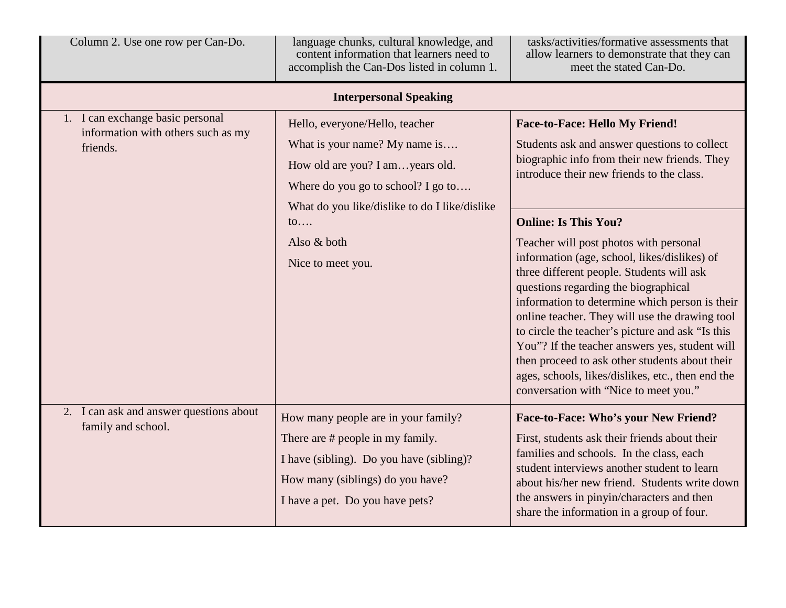| Column 2. Use one row per Can-Do.                                                  | language chunks, cultural knowledge, and<br>content information that learners need to<br>accomplish the Can-Dos listed in column 1.                                                        | tasks/activities/formative assessments that<br>allow learners to demonstrate that they can<br>meet the stated Can-Do.                                                                                                                                                                                                                                                                                                                                                                                                                                                |
|------------------------------------------------------------------------------------|--------------------------------------------------------------------------------------------------------------------------------------------------------------------------------------------|----------------------------------------------------------------------------------------------------------------------------------------------------------------------------------------------------------------------------------------------------------------------------------------------------------------------------------------------------------------------------------------------------------------------------------------------------------------------------------------------------------------------------------------------------------------------|
|                                                                                    | <b>Interpersonal Speaking</b>                                                                                                                                                              |                                                                                                                                                                                                                                                                                                                                                                                                                                                                                                                                                                      |
| 1. I can exchange basic personal<br>information with others such as my<br>friends. | Hello, everyone/Hello, teacher<br>What is your name? My name is<br>How old are you? I amyears old.<br>Where do you go to school? I go to<br>What do you like/dislike to do I like/dislike  | <b>Face-to-Face: Hello My Friend!</b><br>Students ask and answer questions to collect<br>biographic info from their new friends. They<br>introduce their new friends to the class.                                                                                                                                                                                                                                                                                                                                                                                   |
|                                                                                    | $\mathfrak{to}$<br>Also & both<br>Nice to meet you.                                                                                                                                        | <b>Online: Is This You?</b><br>Teacher will post photos with personal<br>information (age, school, likes/dislikes) of<br>three different people. Students will ask<br>questions regarding the biographical<br>information to determine which person is their<br>online teacher. They will use the drawing tool<br>to circle the teacher's picture and ask "Is this<br>You"? If the teacher answers yes, student will<br>then proceed to ask other students about their<br>ages, schools, likes/dislikes, etc., then end the<br>conversation with "Nice to meet you." |
| 2. I can ask and answer questions about<br>family and school.                      | How many people are in your family?<br>There are # people in my family.<br>I have (sibling). Do you have (sibling)?<br>How many (siblings) do you have?<br>I have a pet. Do you have pets? | Face-to-Face: Who's your New Friend?<br>First, students ask their friends about their<br>families and schools. In the class, each<br>student interviews another student to learn<br>about his/her new friend. Students write down<br>the answers in pinyin/characters and then<br>share the information in a group of four.                                                                                                                                                                                                                                          |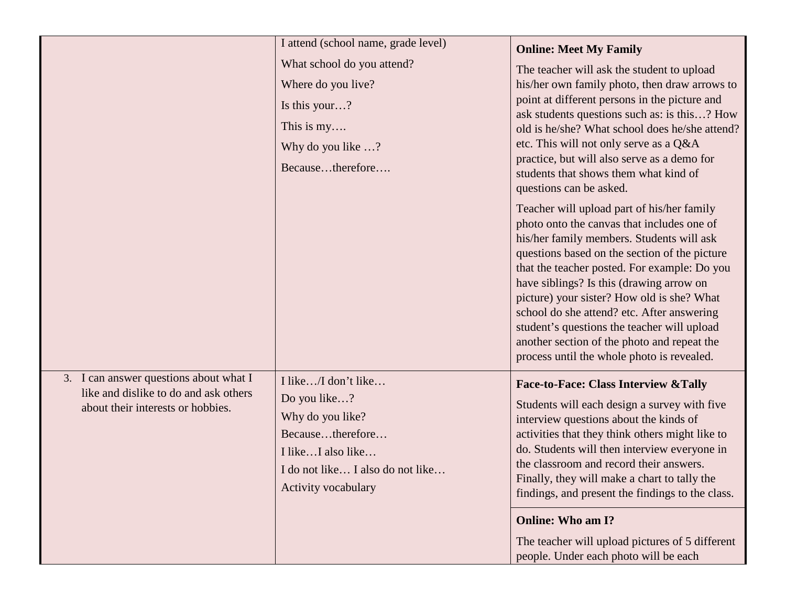|                                                                                                                      | I attend (school name, grade level)                                                                                                                         | <b>Online: Meet My Family</b>                                                                                                                                                                                                                                                                                                                                                                                                                                                                                              |
|----------------------------------------------------------------------------------------------------------------------|-------------------------------------------------------------------------------------------------------------------------------------------------------------|----------------------------------------------------------------------------------------------------------------------------------------------------------------------------------------------------------------------------------------------------------------------------------------------------------------------------------------------------------------------------------------------------------------------------------------------------------------------------------------------------------------------------|
|                                                                                                                      | What school do you attend?                                                                                                                                  | The teacher will ask the student to upload                                                                                                                                                                                                                                                                                                                                                                                                                                                                                 |
|                                                                                                                      | Where do you live?                                                                                                                                          | his/her own family photo, then draw arrows to                                                                                                                                                                                                                                                                                                                                                                                                                                                                              |
|                                                                                                                      | Is this your?                                                                                                                                               | point at different persons in the picture and                                                                                                                                                                                                                                                                                                                                                                                                                                                                              |
|                                                                                                                      | This is $my$                                                                                                                                                | ask students questions such as: is this? How<br>old is he/she? What school does he/she attend?                                                                                                                                                                                                                                                                                                                                                                                                                             |
|                                                                                                                      | Why do you like ?                                                                                                                                           | etc. This will not only serve as a Q&A                                                                                                                                                                                                                                                                                                                                                                                                                                                                                     |
|                                                                                                                      | Becausetherefore                                                                                                                                            | practice, but will also serve as a demo for<br>students that shows them what kind of<br>questions can be asked.                                                                                                                                                                                                                                                                                                                                                                                                            |
|                                                                                                                      |                                                                                                                                                             | Teacher will upload part of his/her family<br>photo onto the canvas that includes one of<br>his/her family members. Students will ask<br>questions based on the section of the picture<br>that the teacher posted. For example: Do you<br>have siblings? Is this (drawing arrow on<br>picture) your sister? How old is she? What<br>school do she attend? etc. After answering<br>student's questions the teacher will upload<br>another section of the photo and repeat the<br>process until the whole photo is revealed. |
| 3. I can answer questions about what I<br>like and dislike to do and ask others<br>about their interests or hobbies. | I like/I don't like<br>Do you like?<br>Why do you like?<br>Becausetherefore<br>I likeI also like<br>I do not like I also do not like<br>Activity vocabulary | <b>Face-to-Face: Class Interview &amp; Tally</b><br>Students will each design a survey with five<br>interview questions about the kinds of<br>activities that they think others might like to<br>do. Students will then interview everyone in<br>the classroom and record their answers.<br>Finally, they will make a chart to tally the<br>findings, and present the findings to the class.                                                                                                                               |
|                                                                                                                      |                                                                                                                                                             | <b>Online: Who am I?</b>                                                                                                                                                                                                                                                                                                                                                                                                                                                                                                   |
|                                                                                                                      |                                                                                                                                                             | The teacher will upload pictures of 5 different<br>people. Under each photo will be each                                                                                                                                                                                                                                                                                                                                                                                                                                   |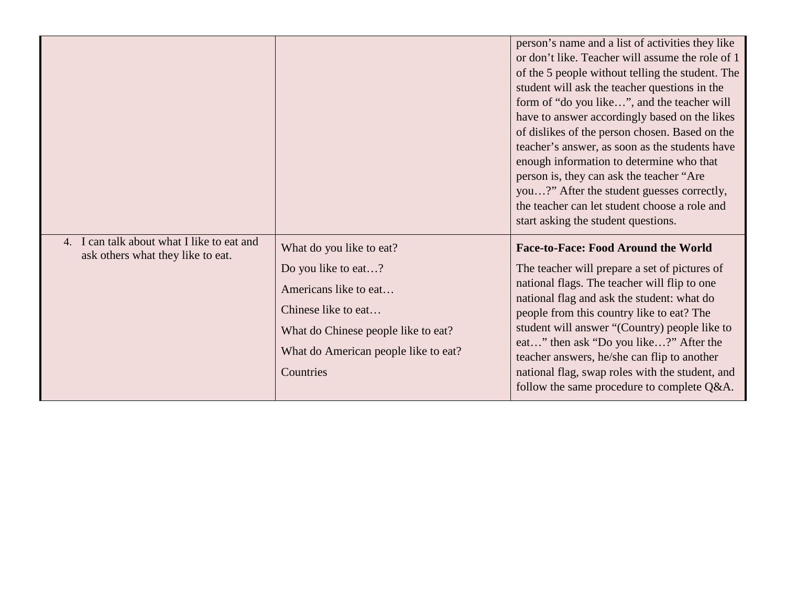|                                                                                 |                                                                                                                                                                                             | person's name and a list of activities they like<br>or don't like. Teacher will assume the role of 1<br>of the 5 people without telling the student. The<br>student will ask the teacher questions in the<br>form of "do you like", and the teacher will<br>have to answer accordingly based on the likes<br>of dislikes of the person chosen. Based on the<br>teacher's answer, as soon as the students have<br>enough information to determine who that<br>person is, they can ask the teacher "Are"<br>you?" After the student guesses correctly,<br>the teacher can let student choose a role and<br>start asking the student questions. |
|---------------------------------------------------------------------------------|---------------------------------------------------------------------------------------------------------------------------------------------------------------------------------------------|----------------------------------------------------------------------------------------------------------------------------------------------------------------------------------------------------------------------------------------------------------------------------------------------------------------------------------------------------------------------------------------------------------------------------------------------------------------------------------------------------------------------------------------------------------------------------------------------------------------------------------------------|
| 4. I can talk about what I like to eat and<br>ask others what they like to eat. | What do you like to eat?<br>Do you like to eat?<br>Americans like to eat<br>Chinese like to eat<br>What do Chinese people like to eat?<br>What do American people like to eat?<br>Countries | <b>Face-to-Face: Food Around the World</b><br>The teacher will prepare a set of pictures of<br>national flags. The teacher will flip to one<br>national flag and ask the student: what do<br>people from this country like to eat? The<br>student will answer "(Country) people like to<br>eat" then ask "Do you like?" After the<br>teacher answers, he/she can flip to another<br>national flag, swap roles with the student, and<br>follow the same procedure to complete Q&A.                                                                                                                                                            |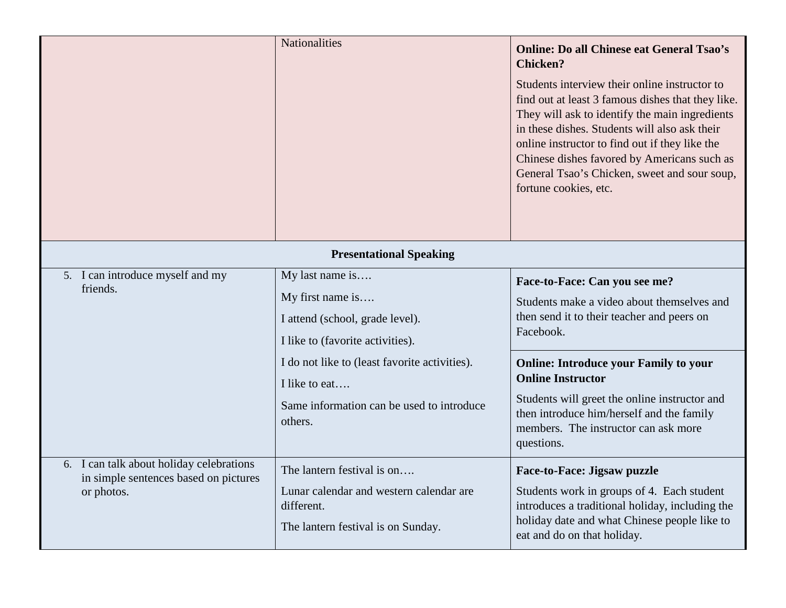|                                                                                                 | <b>Nationalities</b>                                                                                                      | <b>Online: Do all Chinese eat General Tsao's</b><br><b>Chicken?</b><br>Students interview their online instructor to<br>find out at least 3 famous dishes that they like.<br>They will ask to identify the main ingredients<br>in these dishes. Students will also ask their<br>online instructor to find out if they like the<br>Chinese dishes favored by Americans such as<br>General Tsao's Chicken, sweet and sour soup,<br>fortune cookies, etc. |
|-------------------------------------------------------------------------------------------------|---------------------------------------------------------------------------------------------------------------------------|--------------------------------------------------------------------------------------------------------------------------------------------------------------------------------------------------------------------------------------------------------------------------------------------------------------------------------------------------------------------------------------------------------------------------------------------------------|
|                                                                                                 | <b>Presentational Speaking</b>                                                                                            |                                                                                                                                                                                                                                                                                                                                                                                                                                                        |
| 5. I can introduce myself and my<br>friends.                                                    | My last name is<br>My first name is<br>I attend (school, grade level).<br>I like to (favorite activities).                | Face-to-Face: Can you see me?<br>Students make a video about themselves and<br>then send it to their teacher and peers on<br>Facebook.                                                                                                                                                                                                                                                                                                                 |
|                                                                                                 | I do not like to (least favorite activities).<br>I like to eat<br>Same information can be used to introduce<br>others.    | <b>Online: Introduce your Family to your</b><br><b>Online Instructor</b><br>Students will greet the online instructor and<br>then introduce him/herself and the family<br>members. The instructor can ask more<br>questions.                                                                                                                                                                                                                           |
| 6. I can talk about holiday celebrations<br>in simple sentences based on pictures<br>or photos. | The lantern festival is on<br>Lunar calendar and western calendar are<br>different.<br>The lantern festival is on Sunday. | <b>Face-to-Face: Jigsaw puzzle</b><br>Students work in groups of 4. Each student<br>introduces a traditional holiday, including the<br>holiday date and what Chinese people like to<br>eat and do on that holiday.                                                                                                                                                                                                                                     |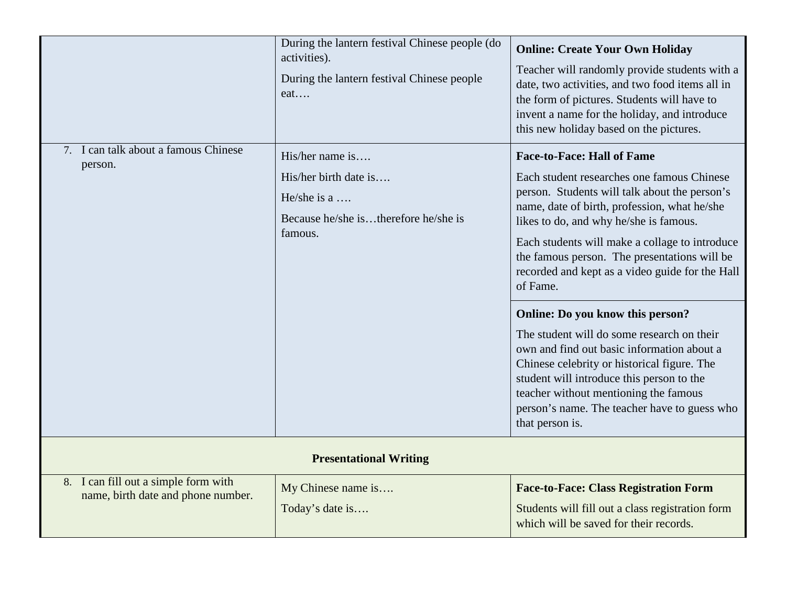| 7. I can talk about a famous Chinese<br>person.                            | During the lantern festival Chinese people (do<br>activities).<br>During the lantern festival Chinese people<br>eat<br>$His/her$ name is<br>His/her birth date is<br>He/she is a $\dots$<br>Because he/she istherefore he/she is<br>famous. | <b>Online: Create Your Own Holiday</b><br>Teacher will randomly provide students with a<br>date, two activities, and two food items all in<br>the form of pictures. Students will have to<br>invent a name for the holiday, and introduce<br>this new holiday based on the pictures.<br><b>Face-to-Face: Hall of Fame</b><br>Each student researches one famous Chinese<br>person. Students will talk about the person's<br>name, date of birth, profession, what he/she<br>likes to do, and why he/she is famous.<br>Each students will make a collage to introduce<br>the famous person. The presentations will be<br>recorded and kept as a video guide for the Hall<br>of Fame.<br>Online: Do you know this person?<br>The student will do some research on their<br>own and find out basic information about a<br>Chinese celebrity or historical figure. The<br>student will introduce this person to the<br>teacher without mentioning the famous |
|----------------------------------------------------------------------------|---------------------------------------------------------------------------------------------------------------------------------------------------------------------------------------------------------------------------------------------|----------------------------------------------------------------------------------------------------------------------------------------------------------------------------------------------------------------------------------------------------------------------------------------------------------------------------------------------------------------------------------------------------------------------------------------------------------------------------------------------------------------------------------------------------------------------------------------------------------------------------------------------------------------------------------------------------------------------------------------------------------------------------------------------------------------------------------------------------------------------------------------------------------------------------------------------------------|
|                                                                            |                                                                                                                                                                                                                                             | person's name. The teacher have to guess who<br>that person is.                                                                                                                                                                                                                                                                                                                                                                                                                                                                                                                                                                                                                                                                                                                                                                                                                                                                                          |
| <b>Presentational Writing</b>                                              |                                                                                                                                                                                                                                             |                                                                                                                                                                                                                                                                                                                                                                                                                                                                                                                                                                                                                                                                                                                                                                                                                                                                                                                                                          |
| 8. I can fill out a simple form with<br>name, birth date and phone number. | My Chinese name is<br>Today's date is                                                                                                                                                                                                       | <b>Face-to-Face: Class Registration Form</b><br>Students will fill out a class registration form<br>which will be saved for their records.                                                                                                                                                                                                                                                                                                                                                                                                                                                                                                                                                                                                                                                                                                                                                                                                               |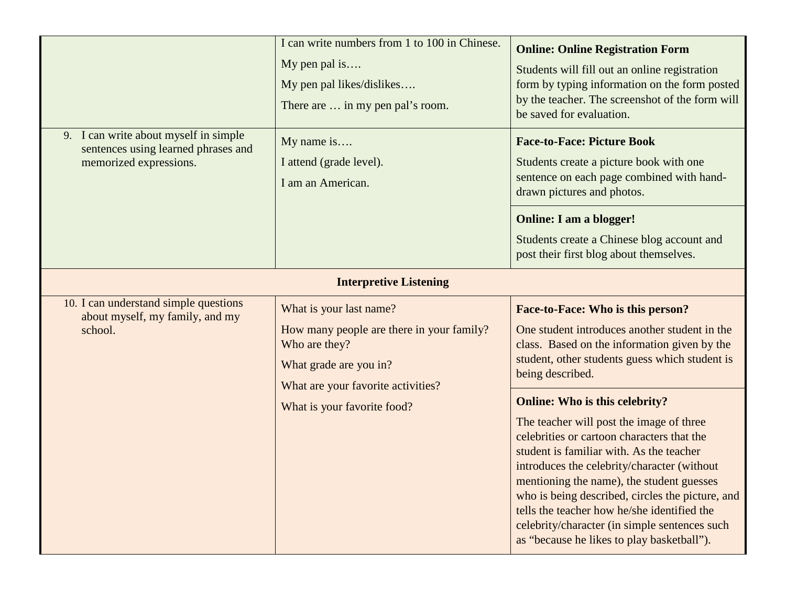|                                                                                                        | I can write numbers from 1 to 100 in Chinese.<br>My pen pal is<br>My pen pal likes/dislikes<br>There are  in my pen pal's room.                       | <b>Online: Online Registration Form</b><br>Students will fill out an online registration<br>form by typing information on the form posted<br>by the teacher. The screenshot of the form will<br>be saved for evaluation.                                                                                                                                                                                                                                                  |
|--------------------------------------------------------------------------------------------------------|-------------------------------------------------------------------------------------------------------------------------------------------------------|---------------------------------------------------------------------------------------------------------------------------------------------------------------------------------------------------------------------------------------------------------------------------------------------------------------------------------------------------------------------------------------------------------------------------------------------------------------------------|
| 9. I can write about myself in simple<br>sentences using learned phrases and<br>memorized expressions. | My name is<br>I attend (grade level).<br>I am an American.                                                                                            | <b>Face-to-Face: Picture Book</b><br>Students create a picture book with one<br>sentence on each page combined with hand-<br>drawn pictures and photos.                                                                                                                                                                                                                                                                                                                   |
|                                                                                                        |                                                                                                                                                       | <b>Online: I am a blogger!</b><br>Students create a Chinese blog account and<br>post their first blog about themselves.                                                                                                                                                                                                                                                                                                                                                   |
|                                                                                                        | <b>Interpretive Listening</b>                                                                                                                         |                                                                                                                                                                                                                                                                                                                                                                                                                                                                           |
| 10. I can understand simple questions<br>about myself, my family, and my<br>school.                    | What is your last name?<br>How many people are there in your family?<br>Who are they?<br>What grade are you in?<br>What are your favorite activities? | Face-to-Face: Who is this person?<br>One student introduces another student in the<br>class. Based on the information given by the<br>student, other students guess which student is<br>being described.                                                                                                                                                                                                                                                                  |
|                                                                                                        | What is your favorite food?                                                                                                                           | <b>Online: Who is this celebrity?</b><br>The teacher will post the image of three<br>celebrities or cartoon characters that the<br>student is familiar with. As the teacher<br>introduces the celebrity/character (without<br>mentioning the name), the student guesses<br>who is being described, circles the picture, and<br>tells the teacher how he/she identified the<br>celebrity/character (in simple sentences such<br>as "because he likes to play basketball"). |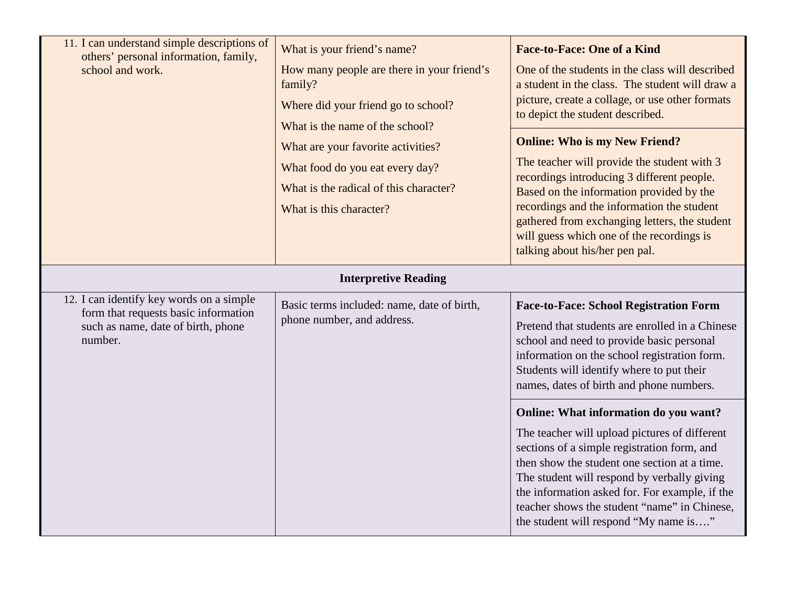| 11. I can understand simple descriptions of<br>others' personal information, family,<br>school and work.                          | What is your friend's name?<br>How many people are there in your friend's<br>family?<br>Where did your friend go to school?<br>What is the name of the school?<br>What are your favorite activities?<br>What food do you eat every day?<br>What is the radical of this character?<br>What is this character? | <b>Face-to-Face: One of a Kind</b><br>One of the students in the class will described<br>a student in the class. The student will draw a<br>picture, create a collage, or use other formats<br>to depict the student described.<br><b>Online: Who is my New Friend?</b><br>The teacher will provide the student with 3<br>recordings introducing 3 different people.<br>Based on the information provided by the<br>recordings and the information the student<br>gathered from exchanging letters, the student<br>will guess which one of the recordings is<br>talking about his/her pen pal. |
|-----------------------------------------------------------------------------------------------------------------------------------|--------------------------------------------------------------------------------------------------------------------------------------------------------------------------------------------------------------------------------------------------------------------------------------------------------------|------------------------------------------------------------------------------------------------------------------------------------------------------------------------------------------------------------------------------------------------------------------------------------------------------------------------------------------------------------------------------------------------------------------------------------------------------------------------------------------------------------------------------------------------------------------------------------------------|
|                                                                                                                                   |                                                                                                                                                                                                                                                                                                              |                                                                                                                                                                                                                                                                                                                                                                                                                                                                                                                                                                                                |
|                                                                                                                                   | <b>Interpretive Reading</b>                                                                                                                                                                                                                                                                                  |                                                                                                                                                                                                                                                                                                                                                                                                                                                                                                                                                                                                |
| 12. I can identify key words on a simple<br>form that requests basic information<br>such as name, date of birth, phone<br>number. | Basic terms included: name, date of birth,<br>phone number, and address.                                                                                                                                                                                                                                     | <b>Face-to-Face: School Registration Form</b><br>Pretend that students are enrolled in a Chinese<br>school and need to provide basic personal<br>information on the school registration form.<br>Students will identify where to put their<br>names, dates of birth and phone numbers.                                                                                                                                                                                                                                                                                                         |
|                                                                                                                                   |                                                                                                                                                                                                                                                                                                              | Online: What information do you want?                                                                                                                                                                                                                                                                                                                                                                                                                                                                                                                                                          |
|                                                                                                                                   |                                                                                                                                                                                                                                                                                                              | The teacher will upload pictures of different<br>sections of a simple registration form, and<br>then show the student one section at a time.<br>The student will respond by verbally giving<br>the information asked for. For example, if the<br>teacher shows the student "name" in Chinese,<br>the student will respond "My name is"                                                                                                                                                                                                                                                         |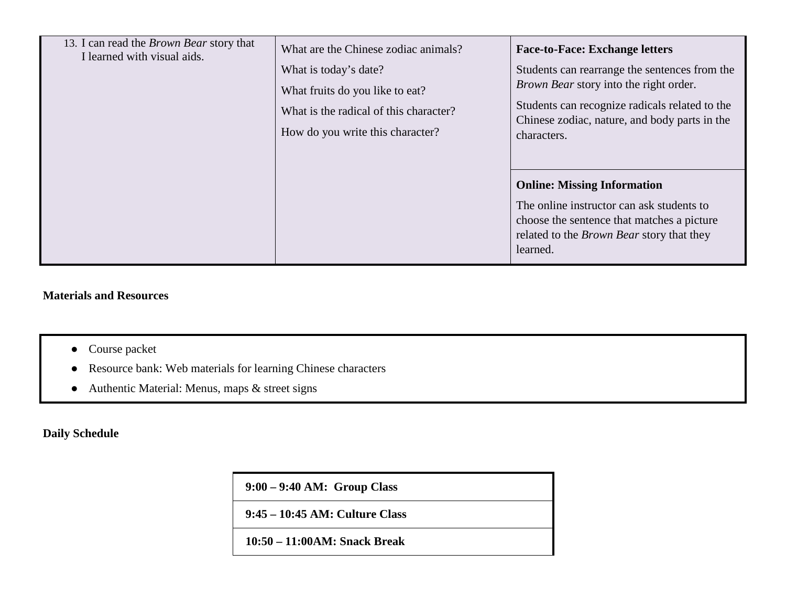| 13. I can read the <i>Brown Bear</i> story that<br>I learned with visual aids. | What are the Chinese zodiac animals?<br>What is today's date?<br>What fruits do you like to eat?<br>What is the radical of this character?<br>How do you write this character? | <b>Face-to-Face: Exchange letters</b><br>Students can rearrange the sentences from the<br><i>Brown Bear</i> story into the right order.<br>Students can recognize radicals related to the<br>Chinese zodiac, nature, and body parts in the<br>characters. |
|--------------------------------------------------------------------------------|--------------------------------------------------------------------------------------------------------------------------------------------------------------------------------|-----------------------------------------------------------------------------------------------------------------------------------------------------------------------------------------------------------------------------------------------------------|
|                                                                                |                                                                                                                                                                                | <b>Online: Missing Information</b><br>The online instructor can ask students to<br>choose the sentence that matches a picture<br>related to the <i>Brown Bear</i> story that they<br>learned.                                                             |

#### **Materials and Resources**

- Course packet
- Resource bank: Web materials for learning Chinese characters
- Authentic Material: Menus, maps & street signs

**Daily Schedule**

| $9:00 - 9:40$ AM: Group Class   |
|---------------------------------|
| 9:45 – 10:45 AM: Culture Class  |
| $10:50 - 11:00AM$ : Snack Break |